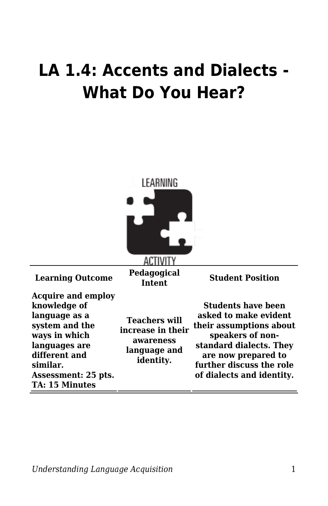## **LA 1.4: Accents and Dialects - What Do You Hear?**

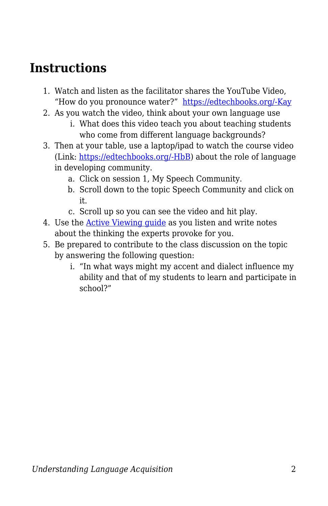## **Instructions**

- 1. Watch and listen as the facilitator shares the YouTube Video, "How do you pronounce water?" [https://edtechbooks.org/-Kay](https://www.youtube.com/watch?v=Q7ijTGd6hy0)
- 2. As you watch the video, think about your own language use
	- i. What does this video teach you about teaching students who come from different language backgrounds?
- 3. Then at your table, use a laptop/ipad to watch the course video (Link: [https://edtechbooks.org/-HbB](https://www.education.byu.edu/tellvideolibrary/languageAcquisition)) about the role of language in developing community.
	- a. Click on session 1, My Speech Community.
	- b. Scroll down to the topic Speech Community and click on it.
	- c. Scroll up so you can see the video and hit play.
- 4. Use the **Active Viewing quide** as you listen and write notes about the thinking the experts provoke for you.
- 5. Be prepared to contribute to the class discussion on the topic by answering the following question:
	- i. "In what ways might my accent and dialect influence my ability and that of my students to learn and participate in school?"